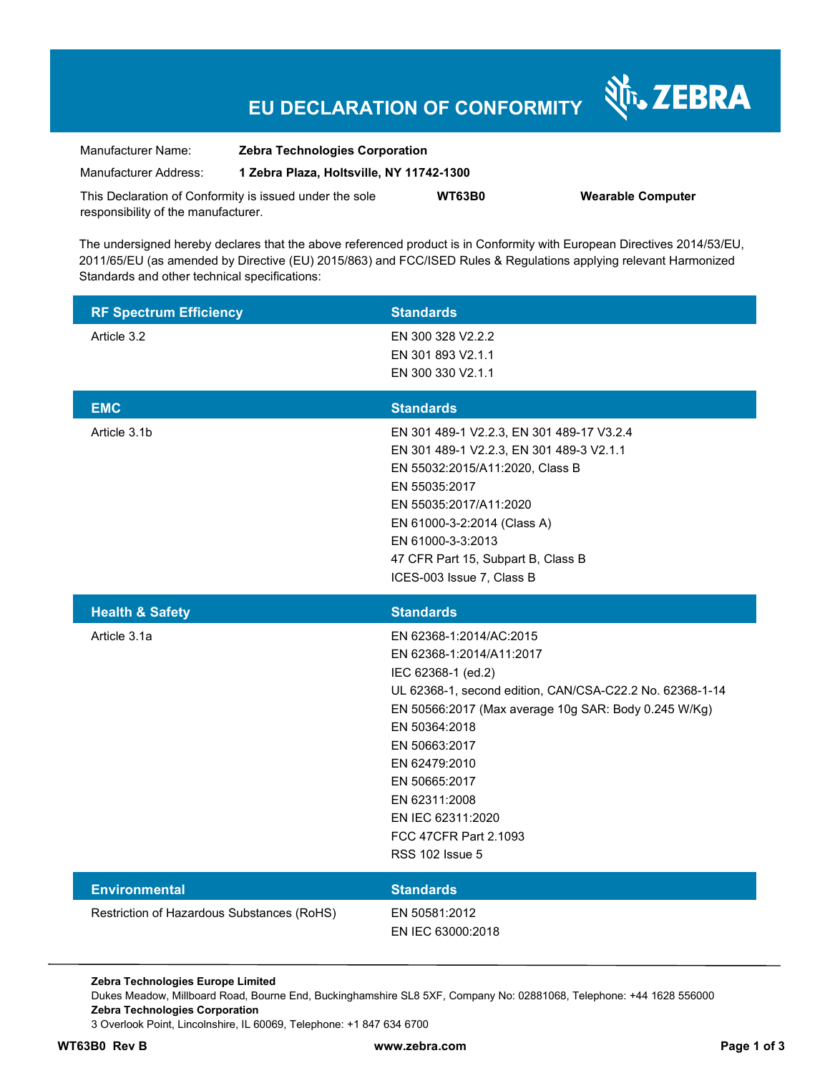# **EU DECLARATION OF CONFORMITY**

श्री<sub>1</sub>, ZEBRA

| Manufacturer Name:                                      | <b>Zebra Technologies Corporation</b>    |               |                          |  |
|---------------------------------------------------------|------------------------------------------|---------------|--------------------------|--|
| Manufacturer Address:                                   | 1 Zebra Plaza, Holtsville, NY 11742-1300 |               |                          |  |
| This Declaration of Conformity is issued under the sole |                                          | <b>WT63B0</b> | <b>Wearable Computer</b> |  |
| responsibility of the manufacturer.                     |                                          |               |                          |  |

The undersigned hereby declares that the above referenced product is in Conformity with European Directives 2014/53/EU, 2011/65/EU (as amended by Directive (EU) 2015/863) and FCC/ISED Rules & Regulations applying relevant Harmonized Standards and other technical specifications:

| <b>RF Spectrum Efficiency</b> | <b>Standards</b>                                                                                                                                                                                                                                                                                                                |
|-------------------------------|---------------------------------------------------------------------------------------------------------------------------------------------------------------------------------------------------------------------------------------------------------------------------------------------------------------------------------|
| Article 3.2                   | EN 300 328 V2.2.2<br>EN 301 893 V2.1.1<br>EN 300 330 V2.1.1                                                                                                                                                                                                                                                                     |
| <b>EMC</b>                    | <b>Standards</b>                                                                                                                                                                                                                                                                                                                |
| Article 3.1b                  | EN 301 489-1 V2.2.3, EN 301 489-17 V3.2.4<br>EN 301 489-1 V2.2.3, EN 301 489-3 V2.1.1<br>EN 55032:2015/A11:2020, Class B<br>EN 55035:2017<br>EN 55035:2017/A11:2020<br>EN 61000-3-2:2014 (Class A)<br>EN 61000-3-3:2013<br>47 CFR Part 15, Subpart B, Class B<br>ICES-003 Issue 7, Class B                                      |
| <b>Health &amp; Safety</b>    | <b>Standards</b>                                                                                                                                                                                                                                                                                                                |
| Article 3.1a                  | EN 62368-1:2014/AC:2015                                                                                                                                                                                                                                                                                                         |
|                               | EN 62368-1:2014/A11:2017<br>IEC 62368-1 (ed.2)<br>UL 62368-1, second edition, CAN/CSA-C22.2 No. 62368-1-14<br>EN 50566:2017 (Max average 10g SAR: Body 0.245 W/Kg)<br>EN 50364:2018<br>EN 50663:2017<br>EN 62479:2010<br>EN 50665:2017<br>EN 62311:2008<br>EN IEC 62311:2020<br>FCC 47CFR Part 2.1093<br><b>RSS 102 Issue 5</b> |
| <b>Environmental</b>          | <b>Standards</b>                                                                                                                                                                                                                                                                                                                |

**Zebra Technologies Europe Limited** 

Dukes Meadow, Millboard Road, Bourne End, Buckinghamshire SL8 5XF, Company No: 02881068, Telephone: +44 1628 556000 **Zebra Technologies Corporation** 

3 Overlook Point, Lincolnshire, IL 60069, Telephone: +1 847 634 6700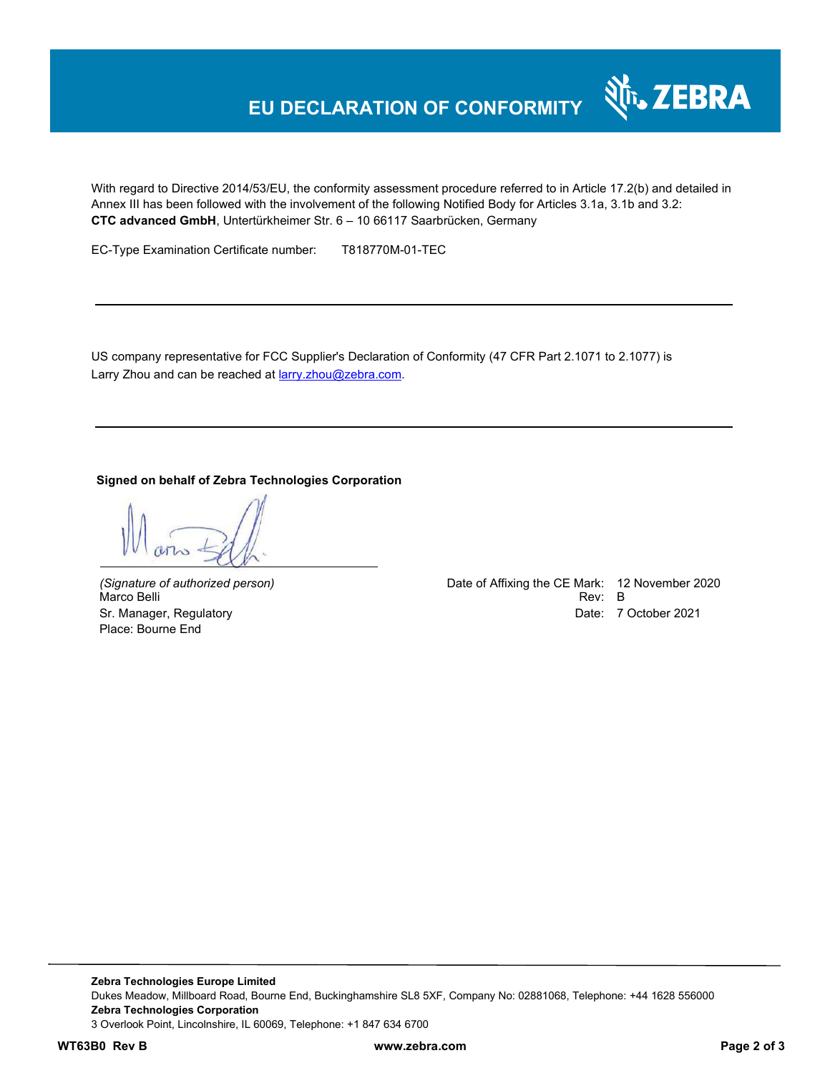## **EU DECLARATION OF CONFORMITY**

With regard to Directive 2014/53/EU, the conformity assessment procedure referred to in Article 17.2(b) and detailed in Annex III has been followed with the involvement of the following Notified Body for Articles 3.1a, 3.1b and 3.2: **CTC advanced GmbH**, Untertürkheimer Str. 6 – 10 66117 Saarbrücken, Germany

EC-Type Examination Certificate number: T818770M-01-TEC

US company representative for FCC Supplier's Declaration of Conformity (47 CFR Part 2.1071 to 2.1077) is Larry Zhou and can be reached at **larry.zhou@zebra.com.** 

## **Signed on behalf of Zebra Technologies Corporation**

Place: Bourne End

*(Signature of authorized person)* Date of Affixing the CE Mark: 12 November 2020 Marco Belli Rev: B Sr. Manager, Regulatory **Date: 7 October 2021** 

र्शे<sub>ि</sub> ZEBRA

**Zebra Technologies Europe Limited**  Dukes Meadow, Millboard Road, Bourne End, Buckinghamshire SL8 5XF, Company No: 02881068, Telephone: +44 1628 556000 **Zebra Technologies Corporation**  3 Overlook Point, Lincolnshire, IL 60069, Telephone: +1 847 634 6700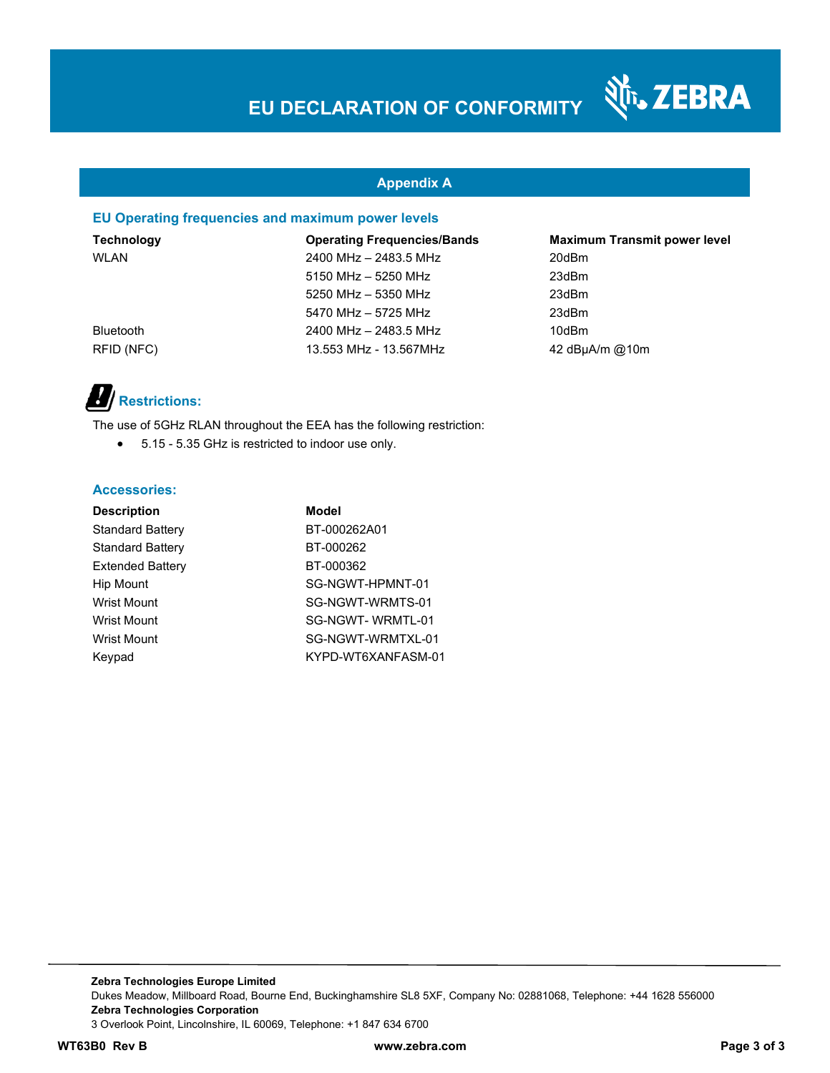## **Appendix A**

## **EU Operating frequencies and maximum power levels**

**Technology Operating Frequencies/Bands Maximum Transmit power level**  WLAN 2400 MHz – 2483.5 MHz 20dBm 5150 MHz – 5250 MHz 23dBm 5250 MHz – 5350 MHz 23dBm 5470 MHz – 5725 MHz 23dBm Bluetooth 2400 MHz – 2483.5 MHz 10dBm RFID (NFC) 13.553 MHz - 13.567MHz 42 dBµA/m @10m

N<sub>T</sub>, ZEBRA

# *Restrictions:*

The use of 5GHz RLAN throughout the EEA has the following restriction:

5.15 - 5.35 GHz is restricted to indoor use only.

## **Accessories:**

| <b>Description</b>      | Model              |
|-------------------------|--------------------|
| <b>Standard Battery</b> | BT-000262A01       |
| <b>Standard Battery</b> | BT-000262          |
| <b>Extended Battery</b> | BT-000362          |
| Hip Mount               | SG-NGWT-HPMNT-01   |
| <b>Wrist Mount</b>      | SG-NGWT-WRMTS-01   |
| <b>Wrist Mount</b>      | SG-NGWT-WRMTL-01   |
| <b>Wrist Mount</b>      | SG-NGWT-WRMTXL-01  |
| Keypad                  | KYPD-WT6XANFASM-01 |

**Zebra Technologies Europe Limited**  Dukes Meadow, Millboard Road, Bourne End, Buckinghamshire SL8 5XF, Company No: 02881068, Telephone: +44 1628 556000 **Zebra Technologies Corporation**  3 Overlook Point, Lincolnshire, IL 60069, Telephone: +1 847 634 6700